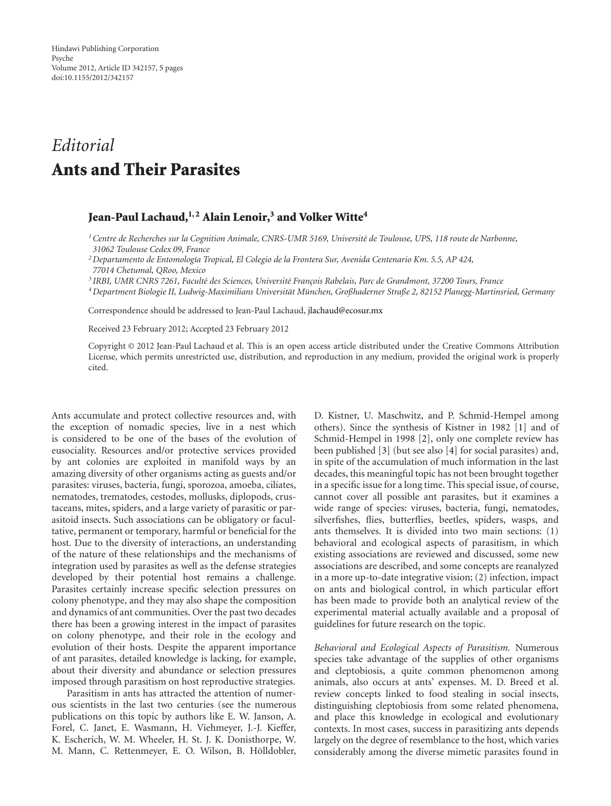# *Editorial* **Ants and Their Parasites**

## **Jean-Paul Lachaud,1, 2 Alain Lenoir,3 and Volker Witte4**

- <sup>1</sup> Centre de Recherches sur la Cognition Animale, CNRS-UMR 5169, Université de Toulouse, UPS, 118 route de Narbonne, *31062 Toulouse Cedex 09, France*
- *2Departamento de Entomolog´ıa Tropical, El Colegio de la Frontera Sur, Avenida Centenario Km. 5.5, AP 424,*
- *77014 Chetumal, QRoo, Mexico*
- <sup>3</sup> IRBI, UMR CNRS 7261, Faculté des Sciences, Université François Rabelais, Parc de Grandmont, 37200 Tours, France
- *4Department Biologie II, Ludwig-Maximilians Universitat M¨ unchen, Großhaderner Straße 2, 82152 Planegg-Martinsried, Germany ¨*

Correspondence should be addressed to Jean-Paul Lachaud, jlachaud@ecosur.mx

Received 23 February 2012; Accepted 23 February 2012

Copyright © 2012 Jean-Paul Lachaud et al. This is an open access article distributed under the Creative Commons Attribution License, which permits unrestricted use, distribution, and reproduction in any medium, provided the original work is properly cited.

Ants accumulate and protect collective resources and, with the exception of nomadic species, live in a nest which is considered to be one of the bases of the evolution of eusociality. Resources and/or protective services provided by ant colonies are exploited in manifold ways by an amazing diversity of other organisms acting as guests and/or parasites: viruses, bacteria, fungi, sporozoa, amoeba, ciliates, nematodes, trematodes, cestodes, mollusks, diplopods, crustaceans, mites, spiders, and a large variety of parasitic or parasitoid insects. Such associations can be obligatory or facultative, permanent or temporary, harmful or beneficial for the host. Due to the diversity of interactions, an understanding of the nature of these relationships and the mechanisms of integration used by parasites as well as the defense strategies developed by their potential host remains a challenge. Parasites certainly increase specific selection pressures on colony phenotype, and they may also shape the composition and dynamics of ant communities. Over the past two decades there has been a growing interest in the impact of parasites on colony phenotype, and their role in the ecology and evolution of their hosts. Despite the apparent importance of ant parasites, detailed knowledge is lacking, for example, about their diversity and abundance or selection pressures imposed through parasitism on host reproductive strategies.

Parasitism in ants has attracted the attention of numerous scientists in the last two centuries (see the numerous publications on this topic by authors like E. W. Janson, A. Forel, C. Janet, E. Wasmann, H. Viehmeyer, J.-J. Kieffer, K. Escherich, W. M. Wheeler, H. St. J. K. Donisthorpe, W. M. Mann, C. Rettenmeyer, E. O. Wilson, B. Hölldobler,

D. Kistner, U. Maschwitz, and P. Schmid-Hempel among others). Since the synthesis of Kistner in 1982 [1] and of Schmid-Hempel in 1998 [2], only one complete review has been published [3] (but see also [4] for social parasites) and, in spite of the accumulation of much information in the last decades, this meaningful topic has not been brought together in a specific issue for a long time. This special issue, of course, cannot cover all possible ant parasites, but it examines a wide range of species: viruses, bacteria, fungi, nematodes, silverfishes, flies, butterflies, beetles, spiders, wasps, and ants themselves. It is divided into two main sections: (1) behavioral and ecological aspects of parasitism, in which existing associations are reviewed and discussed, some new associations are described, and some concepts are reanalyzed in a more up-to-date integrative vision; (2) infection, impact on ants and biological control, in which particular effort has been made to provide both an analytical review of the experimental material actually available and a proposal of guidelines for future research on the topic.

*Behavioral and Ecological Aspects of Parasitism.* Numerous species take advantage of the supplies of other organisms and cleptobiosis, a quite common phenomenon among animals, also occurs at ants' expenses. M. D. Breed et al. review concepts linked to food stealing in social insects, distinguishing cleptobiosis from some related phenomena, and place this knowledge in ecological and evolutionary contexts. In most cases, success in parasitizing ants depends largely on the degree of resemblance to the host, which varies considerably among the diverse mimetic parasites found in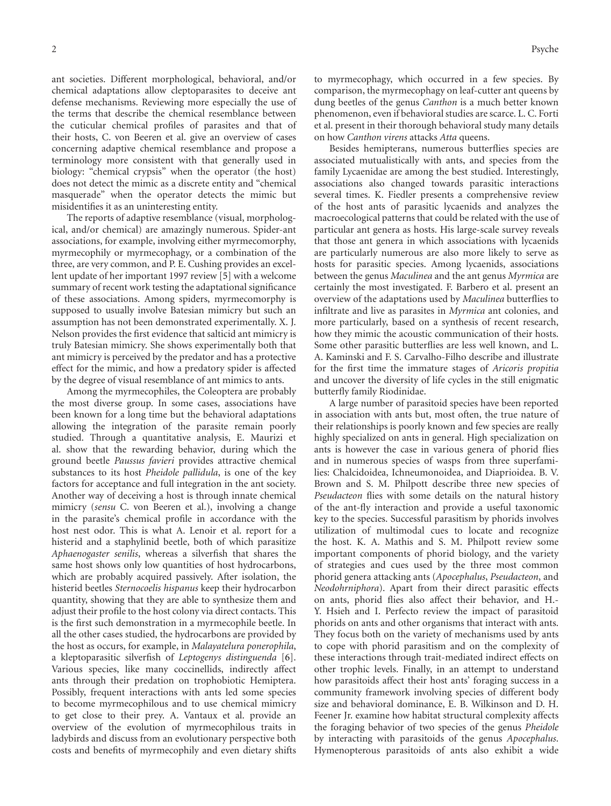ant societies. Different morphological, behavioral, and/or chemical adaptations allow cleptoparasites to deceive ant defense mechanisms. Reviewing more especially the use of the terms that describe the chemical resemblance between the cuticular chemical profiles of parasites and that of their hosts, C. von Beeren et al. give an overview of cases concerning adaptive chemical resemblance and propose a terminology more consistent with that generally used in biology: "chemical crypsis" when the operator (the host) does not detect the mimic as a discrete entity and "chemical masquerade" when the operator detects the mimic but misidentifies it as an uninteresting entity.

The reports of adaptive resemblance (visual, morphological, and/or chemical) are amazingly numerous. Spider-ant associations, for example, involving either myrmecomorphy, myrmecophily or myrmecophagy, or a combination of the three, are very common, and P. E. Cushing provides an excellent update of her important 1997 review [5] with a welcome summary of recent work testing the adaptational significance of these associations. Among spiders, myrmecomorphy is supposed to usually involve Batesian mimicry but such an assumption has not been demonstrated experimentally. X. J. Nelson provides the first evidence that salticid ant mimicry is truly Batesian mimicry. She shows experimentally both that ant mimicry is perceived by the predator and has a protective effect for the mimic, and how a predatory spider is affected by the degree of visual resemblance of ant mimics to ants.

Among the myrmecophiles, the Coleoptera are probably the most diverse group. In some cases, associations have been known for a long time but the behavioral adaptations allowing the integration of the parasite remain poorly studied. Through a quantitative analysis, E. Maurizi et al. show that the rewarding behavior, during which the ground beetle *Paussus favieri* provides attractive chemical substances to its host *Pheidole pallidula*, is one of the key factors for acceptance and full integration in the ant society. Another way of deceiving a host is through innate chemical mimicry (*sensu* C. von Beeren et al.), involving a change in the parasite's chemical profile in accordance with the host nest odor. This is what A. Lenoir et al. report for a histerid and a staphylinid beetle, both of which parasitize *Aphaenogaster senilis*, whereas a silverfish that shares the same host shows only low quantities of host hydrocarbons, which are probably acquired passively. After isolation, the histerid beetles *Sternocoelis hispanus* keep their hydrocarbon quantity, showing that they are able to synthesize them and adjust their profile to the host colony via direct contacts. This is the first such demonstration in a myrmecophile beetle. In all the other cases studied, the hydrocarbons are provided by the host as occurs, for example, in *Malayatelura ponerophila*, a kleptoparasitic silverfish of *Leptogenys distinguenda* [6]. Various species, like many coccinellids, indirectly affect ants through their predation on trophobiotic Hemiptera. Possibly, frequent interactions with ants led some species to become myrmecophilous and to use chemical mimicry to get close to their prey. A. Vantaux et al. provide an overview of the evolution of myrmecophilous traits in ladybirds and discuss from an evolutionary perspective both costs and benefits of myrmecophily and even dietary shifts

to myrmecophagy, which occurred in a few species. By comparison, the myrmecophagy on leaf-cutter ant queens by dung beetles of the genus *Canthon* is a much better known phenomenon, even if behavioral studies are scarce. L. C. Forti et al. present in their thorough behavioral study many details on how *Canthon virens* attacks *Atta* queens.

Besides hemipterans, numerous butterflies species are associated mutualistically with ants, and species from the family Lycaenidae are among the best studied. Interestingly, associations also changed towards parasitic interactions several times. K. Fiedler presents a comprehensive review of the host ants of parasitic lycaenids and analyzes the macroecological patterns that could be related with the use of particular ant genera as hosts. His large-scale survey reveals that those ant genera in which associations with lycaenids are particularly numerous are also more likely to serve as hosts for parasitic species. Among lycaenids, associations between the genus *Maculinea* and the ant genus *Myrmica* are certainly the most investigated. F. Barbero et al. present an overview of the adaptations used by *Maculinea* butterflies to infiltrate and live as parasites in *Myrmica* ant colonies, and more particularly, based on a synthesis of recent research, how they mimic the acoustic communication of their hosts. Some other parasitic butterflies are less well known, and L. A. Kaminski and F. S. Carvalho-Filho describe and illustrate for the first time the immature stages of *Aricoris propitia* and uncover the diversity of life cycles in the still enigmatic butterfly family Riodinidae.

A large number of parasitoid species have been reported in association with ants but, most often, the true nature of their relationships is poorly known and few species are really highly specialized on ants in general. High specialization on ants is however the case in various genera of phorid flies and in numerous species of wasps from three superfamilies: Chalcidoidea, Ichneumonoidea, and Diaprioidea. B. V. Brown and S. M. Philpott describe three new species of *Pseudacteon* flies with some details on the natural history of the ant-fly interaction and provide a useful taxonomic key to the species. Successful parasitism by phorids involves utilization of multimodal cues to locate and recognize the host. K. A. Mathis and S. M. Philpott review some important components of phorid biology, and the variety of strategies and cues used by the three most common phorid genera attacking ants (*Apocephalus*, *Pseudacteon*, and *Neodohrniphora*). Apart from their direct parasitic effects on ants, phorid flies also affect their behavior, and H.- Y. Hsieh and I. Perfecto review the impact of parasitoid phorids on ants and other organisms that interact with ants. They focus both on the variety of mechanisms used by ants to cope with phorid parasitism and on the complexity of these interactions through trait-mediated indirect effects on other trophic levels. Finally, in an attempt to understand how parasitoids affect their host ants' foraging success in a community framework involving species of different body size and behavioral dominance, E. B. Wilkinson and D. H. Feener Jr. examine how habitat structural complexity affects the foraging behavior of two species of the genus *Pheidole* by interacting with parasitoids of the genus *Apocephalus*. Hymenopterous parasitoids of ants also exhibit a wide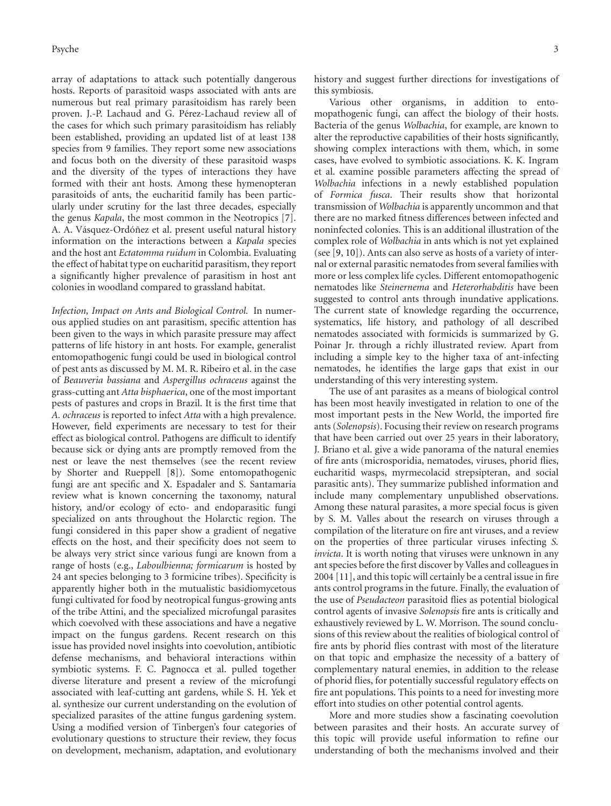array of adaptations to attack such potentially dangerous hosts. Reports of parasitoid wasps associated with ants are numerous but real primary parasitoidism has rarely been proven. J.-P. Lachaud and G. Pérez-Lachaud review all of the cases for which such primary parasitoidism has reliably been established, providing an updated list of at least 138 species from 9 families. They report some new associations and focus both on the diversity of these parasitoid wasps and the diversity of the types of interactions they have formed with their ant hosts. Among these hymenopteran parasitoids of ants, the eucharitid family has been particularly under scrutiny for the last three decades, especially the genus *Kapala*, the most common in the Neotropics [7]. A. A. Vásquez-Ordóñez et al. present useful natural history information on the interactions between a *Kapala* species and the host ant *Ectatomma ruidum* in Colombia. Evaluating the effect of habitat type on eucharitid parasitism, they report a significantly higher prevalence of parasitism in host ant colonies in woodland compared to grassland habitat.

*Infection, Impact on Ants and Biological Control.* In numerous applied studies on ant parasitism, specific attention has been given to the ways in which parasite pressure may affect patterns of life history in ant hosts. For example, generalist entomopathogenic fungi could be used in biological control of pest ants as discussed by M. M. R. Ribeiro et al. in the case of *Beauveria bassiana* and *Aspergillus ochraceus* against the grass-cutting ant *Atta bisphaerica*, one of the most important pests of pastures and crops in Brazil. It is the first time that *A. ochraceus* is reported to infect *Atta* with a high prevalence. However, field experiments are necessary to test for their effect as biological control. Pathogens are difficult to identify because sick or dying ants are promptly removed from the nest or leave the nest themselves (see the recent review by Shorter and Rueppell [8]). Some entomopathogenic fungi are ant specific and X. Espadaler and S. Santamaria review what is known concerning the taxonomy, natural history, and/or ecology of ecto- and endoparasitic fungi specialized on ants throughout the Holarctic region. The fungi considered in this paper show a gradient of negative effects on the host, and their specificity does not seem to be always very strict since various fungi are known from a range of hosts (e.g., *Laboulbienna; formicarum* is hosted by 24 ant species belonging to 3 formicine tribes). Specificity is apparently higher both in the mutualistic basidiomycetous fungi cultivated for food by neotropical fungus-growing ants of the tribe Attini, and the specialized microfungal parasites which coevolved with these associations and have a negative impact on the fungus gardens. Recent research on this issue has provided novel insights into coevolution, antibiotic defense mechanisms, and behavioral interactions within symbiotic systems. F. C. Pagnocca et al. pulled together diverse literature and present a review of the microfungi associated with leaf-cutting ant gardens, while S. H. Yek et al. synthesize our current understanding on the evolution of specialized parasites of the attine fungus gardening system. Using a modified version of Tinbergen's four categories of evolutionary questions to structure their review, they focus on development, mechanism, adaptation, and evolutionary

history and suggest further directions for investigations of this symbiosis.

Various other organisms, in addition to entomopathogenic fungi, can affect the biology of their hosts. Bacteria of the genus *Wolbachia*, for example, are known to alter the reproductive capabilities of their hosts significantly, showing complex interactions with them, which, in some cases, have evolved to symbiotic associations. K. K. Ingram et al. examine possible parameters affecting the spread of *Wolbachia* infections in a newly established population of *Formica fusca*. Their results show that horizontal transmission of *Wolbachia* is apparently uncommon and that there are no marked fitness differences between infected and noninfected colonies. This is an additional illustration of the complex role of *Wolbachia* in ants which is not yet explained (see [9, 10]). Ants can also serve as hosts of a variety of internal or external parasitic nematodes from several families with more or less complex life cycles. Different entomopathogenic nematodes like *Steinernema* and *Heterorhabditis* have been suggested to control ants through inundative applications. The current state of knowledge regarding the occurrence, systematics, life history, and pathology of all described nematodes associated with formicids is summarized by G. Poinar Jr. through a richly illustrated review. Apart from including a simple key to the higher taxa of ant-infecting nematodes, he identifies the large gaps that exist in our understanding of this very interesting system.

The use of ant parasites as a means of biological control has been most heavily investigated in relation to one of the most important pests in the New World, the imported fire ants (*Solenopsis*). Focusing their review on research programs that have been carried out over 25 years in their laboratory, J. Briano et al. give a wide panorama of the natural enemies of fire ants (microsporidia, nematodes, viruses, phorid flies, eucharitid wasps, myrmecolacid strepsipteran, and social parasitic ants). They summarize published information and include many complementary unpublished observations. Among these natural parasites, a more special focus is given by S. M. Valles about the research on viruses through a compilation of the literature on fire ant viruses, and a review on the properties of three particular viruses infecting *S. invicta*. It is worth noting that viruses were unknown in any ant species before the first discover by Valles and colleagues in 2004 [11], and this topic will certainly be a central issue in fire ants control programs in the future. Finally, the evaluation of the use of *Pseudacteon* parasitoid flies as potential biological control agents of invasive *Solenopsis* fire ants is critically and exhaustively reviewed by L. W. Morrison. The sound conclusions of this review about the realities of biological control of fire ants by phorid flies contrast with most of the literature on that topic and emphasize the necessity of a battery of complementary natural enemies, in addition to the release of phorid flies, for potentially successful regulatory effects on fire ant populations. This points to a need for investing more effort into studies on other potential control agents.

More and more studies show a fascinating coevolution between parasites and their hosts. An accurate survey of this topic will provide useful information to refine our understanding of both the mechanisms involved and their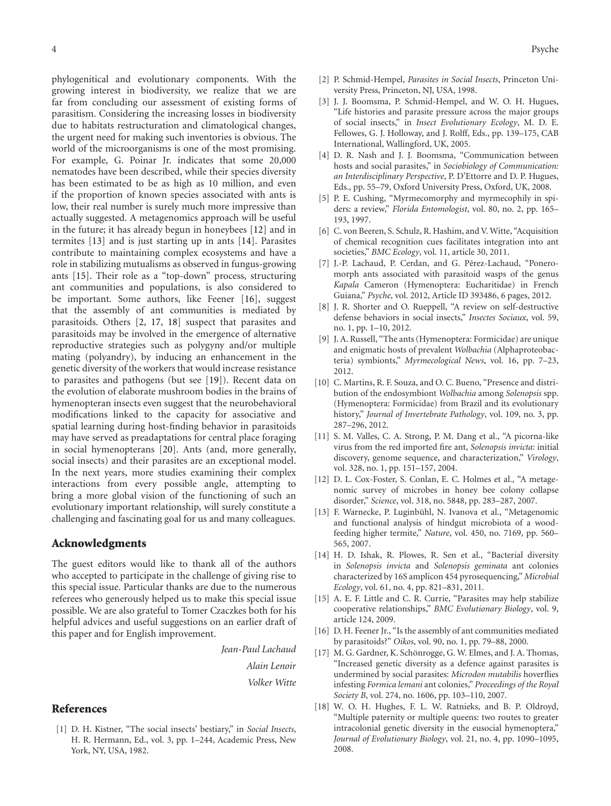phylogenitical and evolutionary components. With the growing interest in biodiversity, we realize that we are far from concluding our assessment of existing forms of parasitism. Considering the increasing losses in biodiversity due to habitats restructuration and climatological changes, the urgent need for making such inventories is obvious. The world of the microorganisms is one of the most promising. For example, G. Poinar Jr. indicates that some 20,000 nematodes have been described, while their species diversity has been estimated to be as high as 10 million, and even if the proportion of known species associated with ants is low, their real number is surely much more impressive than actually suggested. A metagenomics approach will be useful in the future; it has already begun in honeybees [12] and in termites [13] and is just starting up in ants [14]. Parasites contribute to maintaining complex ecosystems and have a role in stabilizing mutualisms as observed in fungus-growing ants [15]. Their role as a "top-down" process, structuring ant communities and populations, is also considered to be important. Some authors, like Feener [16], suggest that the assembly of ant communities is mediated by parasitoids. Others [2, 17, 18] suspect that parasites and parasitoids may be involved in the emergence of alternative reproductive strategies such as polygyny and/or multiple mating (polyandry), by inducing an enhancement in the genetic diversity of the workers that would increase resistance to parasites and pathogens (but see [19]). Recent data on the evolution of elaborate mushroom bodies in the brains of hymenopteran insects even suggest that the neurobehavioral modifications linked to the capacity for associative and spatial learning during host-finding behavior in parasitoids may have served as preadaptations for central place foraging in social hymenopterans [20]. Ants (and, more generally, social insects) and their parasites are an exceptional model. In the next years, more studies examining their complex interactions from every possible angle, attempting to bring a more global vision of the functioning of such an evolutionary important relationship, will surely constitute a challenging and fascinating goal for us and many colleagues.

#### **Acknowledgments**

The guest editors would like to thank all of the authors who accepted to participate in the challenge of giving rise to this special issue. Particular thanks are due to the numerous referees who generously helped us to make this special issue possible. We are also grateful to Tomer Czaczkes both for his helpful advices and useful suggestions on an earlier draft of this paper and for English improvement.

*Jean-Paul Lachaud*

*Alain Lenoir*

*Volker Witte*

#### **References**

[1] D. H. Kistner, "The social insects' bestiary," in *Social Insects*, H. R. Hermann, Ed., vol. 3, pp. 1–244, Academic Press, New York, NY, USA, 1982.

- [2] P. Schmid-Hempel, *Parasites in Social Insects*, Princeton University Press, Princeton, NJ, USA, 1998.
- [3] J. J. Boomsma, P. Schmid-Hempel, and W. O. H. Hugues, "Life histories and parasite pressure across the major groups of social insects," in *Insect Evolutionary Ecology*, M. D. E. Fellowes, G. J. Holloway, and J. Rolff, Eds., pp. 139–175, CAB International, Wallingford, UK, 2005.
- [4] D. R. Nash and J. J. Boomsma, "Communication between hosts and social parasites," in *Sociobiology of Communication: an Interdisciplinary Perspective*, P. D'Ettorre and D. P. Hugues, Eds., pp. 55–79, Oxford University Press, Oxford, UK, 2008.
- [5] P. E. Cushing, "Myrmecomorphy and myrmecophily in spiders: a review," *Florida Entomologist*, vol. 80, no. 2, pp. 165– 193, 1997.
- [6] C. von Beeren, S. Schulz, R. Hashim, and V. Witte, "Acquisition of chemical recognition cues facilitates integration into ant societies," *BMC Ecology*, vol. 11, article 30, 2011.
- [7] J.-P. Lachaud, P. Cerdan, and G. Pérez-Lachaud, "Poneromorph ants associated with parasitoid wasps of the genus *Kapala* Cameron (Hymenoptera: Eucharitidae) in French Guiana," *Psyche*, vol. 2012, Article ID 393486, 6 pages, 2012.
- [8] J. R. Shorter and O. Rueppell, "A review on self-destructive defense behaviors in social insects," *Insectes Sociaux*, vol. 59, no. 1, pp. 1–10, 2012.
- [9] J. A. Russell, "The ants (Hymenoptera: Formicidae) are unique and enigmatic hosts of prevalent *Wolbachia* (Alphaproteobacteria) symbionts," *Myrmecological News*, vol. 16, pp. 7–23, 2012.
- [10] C. Martins, R. F. Souza, and O. C. Bueno, "Presence and distribution of the endosymbiont *Wolbachia* among *Solenopsis* spp. (Hymenoptera: Formicidae) from Brazil and its evolutionary history," *Journal of Invertebrate Pathology*, vol. 109, no. 3, pp. 287–296, 2012.
- [11] S. M. Valles, C. A. Strong, P. M. Dang et al., "A picorna-like virus from the red imported fire ant, *Solenopsis invicta*: initial discovery, genome sequence, and characterization," *Virology*, vol. 328, no. 1, pp. 151–157, 2004.
- [12] D. L. Cox-Foster, S. Conlan, E. C. Holmes et al., "A metagenomic survey of microbes in honey bee colony collapse disorder," *Science*, vol. 318, no. 5848, pp. 283–287, 2007.
- [13] F. Warnecke, P. Luginbühl, N. Ivanova et al., "Metagenomic and functional analysis of hindgut microbiota of a woodfeeding higher termite," *Nature*, vol. 450, no. 7169, pp. 560– 565, 2007.
- [14] H. D. Ishak, R. Plowes, R. Sen et al., "Bacterial diversity in *Solenopsis invicta* and *Solenopsis geminata* ant colonies characterized by 16S amplicon 454 pyrosequencing," *Microbial Ecology*, vol. 61, no. 4, pp. 821–831, 2011.
- [15] A. E. F. Little and C. R. Currie, "Parasites may help stabilize cooperative relationships," *BMC Evolutionary Biology*, vol. 9, article 124, 2009.
- [16] D. H. Feener Jr., "Is the assembly of ant communities mediated by parasitoids?" *Oikos*, vol. 90, no. 1, pp. 79–88, 2000.
- [17] M. G. Gardner, K. Schönrogge, G. W. Elmes, and J. A. Thomas, "Increased genetic diversity as a defence against parasites is undermined by social parasites: *Microdon mutabilis* hoverflies infesting *Formica lemani* ant colonies," *Proceedings of the Royal Society B*, vol. 274, no. 1606, pp. 103–110, 2007.
- [18] W. O. H. Hughes, F. L. W. Ratnieks, and B. P. Oldroyd, "Multiple paternity or multiple queens: two routes to greater intracolonial genetic diversity in the eusocial hymenoptera," *Journal of Evolutionary Biology*, vol. 21, no. 4, pp. 1090–1095, 2008.